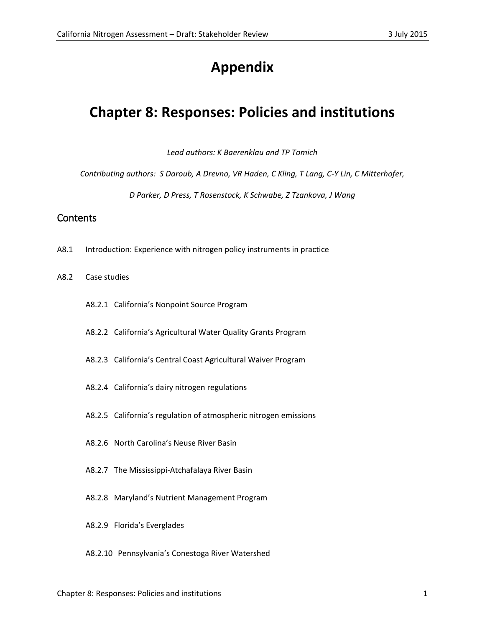# **Appendix**

## **Chapter 8: Responses: Policies and institutions**

*Lead authors: K Baerenklau and TP Tomich*

*Contributing authors: S Daroub, A Drevno, VR Haden, C Kling, T Lang, C-Y Lin, C Mitterhofer,* 

*D Parker, D Press, T Rosenstock, K Schwabe, Z Tzankova, J Wang*

### **Contents**

- A8.1 Introduction: Experience with nitrogen policy instruments in practice
- A8.2 Case studies
	- A8.2.1 California's Nonpoint Source Program
	- A8.2.2 California's Agricultural Water Quality Grants Program
	- A8.2.3 California's Central Coast Agricultural Waiver Program
	- A8.2.4 California's dairy nitrogen regulations
	- A8.2.5 California's regulation of atmospheric nitrogen emissions
	- A8.2.6 North Carolina's Neuse River Basin
	- A8.2.7 The Mississippi-Atchafalaya River Basin
	- A8.2.8 Maryland's Nutrient Management Program
	- A8.2.9 Florida's Everglades
	- A8.2.10 Pennsylvania's Conestoga River Watershed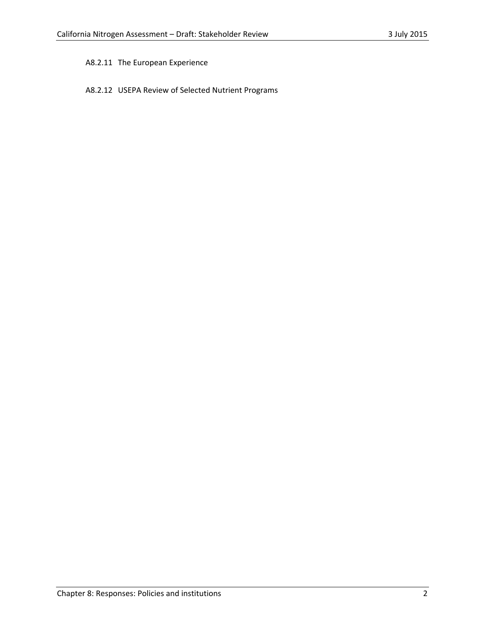## A8.2.11 The European Experience

## A8.2.12 USEPA Review of Selected Nutrient Programs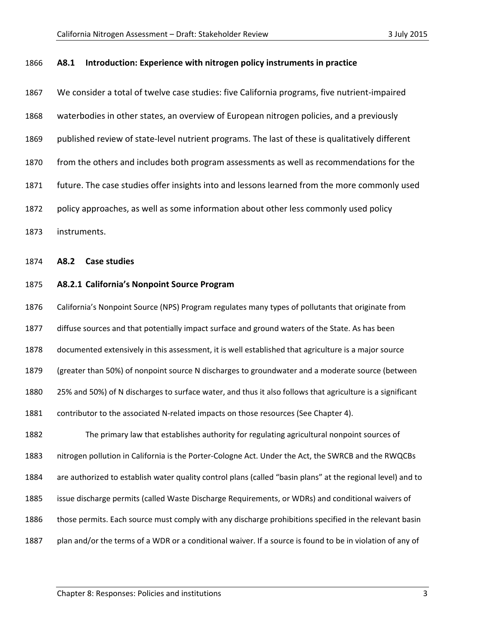#### **A8.1 Introduction: Experience with nitrogen policy instruments in practice**

| 1867 | We consider a total of twelve case studies: five California programs, five nutrient-impaired    |
|------|-------------------------------------------------------------------------------------------------|
| 1868 | waterbodies in other states, an overview of European nitrogen policies, and a previously        |
| 1869 | published review of state-level nutrient programs. The last of these is qualitatively different |
| 1870 | from the others and includes both program assessments as well as recommendations for the        |
| 1871 | future. The case studies offer insights into and lessons learned from the more commonly used    |
| 1872 | policy approaches, as well as some information about other less commonly used policy            |
| 1873 | instruments.                                                                                    |
| 1874 | A8.2<br>Case studies                                                                            |

### **A8.2.1 California's Nonpoint Source Program**

 California's Nonpoint Source (NPS) Program regulates many types of pollutants that originate from diffuse sources and that potentially impact surface and ground waters of the State. As has been documented extensively in this assessment, it is well established that agriculture is a major source (greater than 50%) of nonpoint source N discharges to groundwater and a moderate source (between 25% and 50%) of N discharges to surface water, and thus it also follows that agriculture is a significant contributor to the associated N-related impacts on those resources (See Chapter 4).

 The primary law that establishes authority for regulating agricultural nonpoint sources of nitrogen pollution in California is the Porter-Cologne Act. Under the Act, the SWRCB and the RWQCBs are authorized to establish water quality control plans (called "basin plans" at the regional level) and to issue discharge permits (called Waste Discharge Requirements, or WDRs) and conditional waivers of those permits. Each source must comply with any discharge prohibitions specified in the relevant basin plan and/or the terms of a WDR or a conditional waiver. If a source is found to be in violation of any of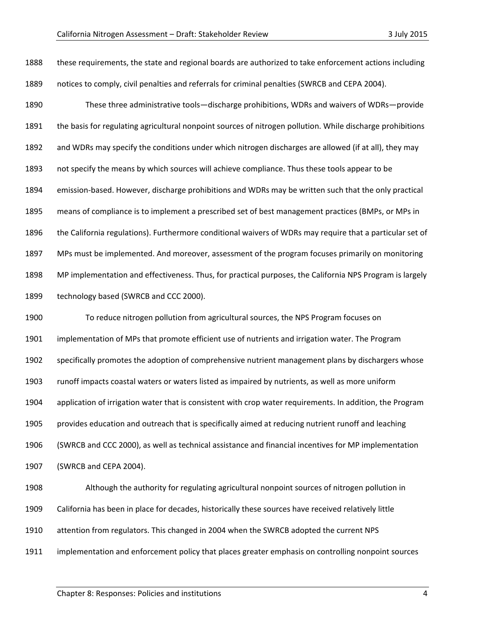these requirements, the state and regional boards are authorized to take enforcement actions including notices to comply, civil penalties and referrals for criminal penalties (SWRCB and CEPA 2004).

 These three administrative tools—discharge prohibitions, WDRs and waivers of WDRs—provide the basis for regulating agricultural nonpoint sources of nitrogen pollution. While discharge prohibitions and WDRs may specify the conditions under which nitrogen discharges are allowed (if at all), they may not specify the means by which sources will achieve compliance. Thus these tools appear to be emission-based. However, discharge prohibitions and WDRs may be written such that the only practical means of compliance is to implement a prescribed set of best management practices (BMPs, or MPs in the California regulations). Furthermore conditional waivers of WDRs may require that a particular set of MPs must be implemented. And moreover, assessment of the program focuses primarily on monitoring MP implementation and effectiveness. Thus, for practical purposes, the California NPS Program is largely technology based (SWRCB and CCC 2000).

 To reduce nitrogen pollution from agricultural sources, the NPS Program focuses on implementation of MPs that promote efficient use of nutrients and irrigation water. The Program specifically promotes the adoption of comprehensive nutrient management plans by dischargers whose runoff impacts coastal waters or waters listed as impaired by nutrients, as well as more uniform application of irrigation water that is consistent with crop water requirements. In addition, the Program provides education and outreach that is specifically aimed at reducing nutrient runoff and leaching (SWRCB and CCC 2000), as well as technical assistance and financial incentives for MP implementation (SWRCB and CEPA 2004).

 Although the authority for regulating agricultural nonpoint sources of nitrogen pollution in California has been in place for decades, historically these sources have received relatively little attention from regulators. This changed in 2004 when the SWRCB adopted the current NPS implementation and enforcement policy that places greater emphasis on controlling nonpoint sources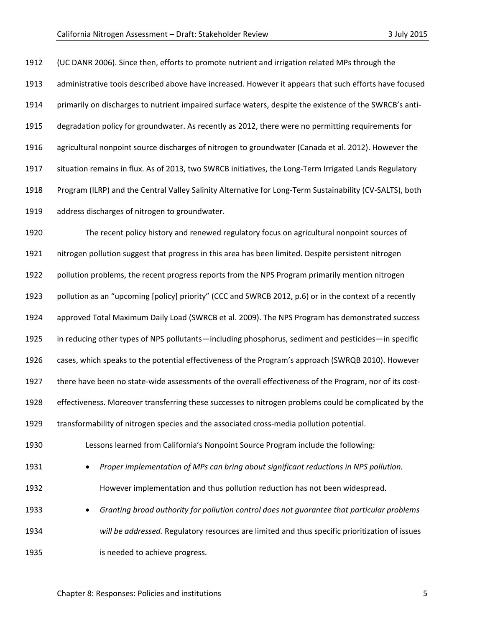(UC DANR 2006). Since then, efforts to promote nutrient and irrigation related MPs through the administrative tools described above have increased. However it appears that such efforts have focused primarily on discharges to nutrient impaired surface waters, despite the existence of the SWRCB's anti- degradation policy for groundwater. As recently as 2012, there were no permitting requirements for agricultural nonpoint source discharges of nitrogen to groundwater (Canada et al. 2012). However the situation remains in flux. As of 2013, two SWRCB initiatives, the Long-Term Irrigated Lands Regulatory Program (ILRP) and the Central Valley Salinity Alternative for Long-Term Sustainability (CV-SALTS), both address discharges of nitrogen to groundwater.

 The recent policy history and renewed regulatory focus on agricultural nonpoint sources of nitrogen pollution suggest that progress in this area has been limited. Despite persistent nitrogen pollution problems, the recent progress reports from the NPS Program primarily mention nitrogen pollution as an "upcoming [policy] priority" (CCC and SWRCB 2012, p.6) or in the context of a recently approved Total Maximum Daily Load (SWRCB et al. 2009). The NPS Program has demonstrated success in reducing other types of NPS pollutants—including phosphorus, sediment and pesticides—in specific cases, which speaks to the potential effectiveness of the Program's approach (SWRQB 2010). However there have been no state-wide assessments of the overall effectiveness of the Program, nor of its cost- effectiveness. Moreover transferring these successes to nitrogen problems could be complicated by the transformability of nitrogen species and the associated cross-media pollution potential. Lessons learned from California's Nonpoint Source Program include the following: • *Proper implementation of MPs can bring about significant reductions in NPS pollution.*  However implementation and thus pollution reduction has not been widespread. • *Granting broad authority for pollution control does not guarantee that particular problems will be addressed.* Regulatory resources are limited and thus specific prioritization of issues

is needed to achieve progress.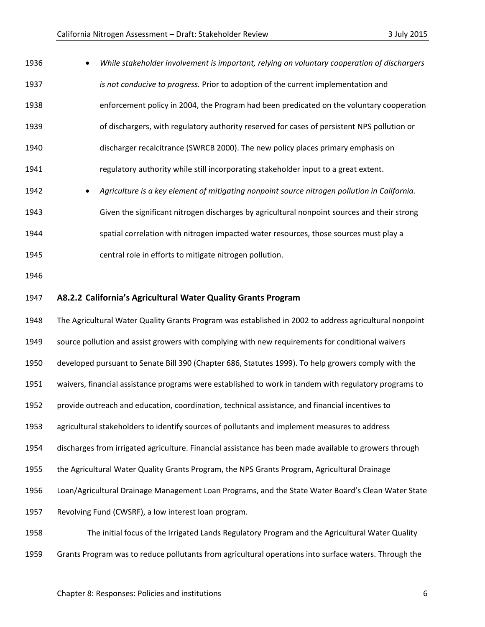| 1936 | While stakeholder involvement is important, relying on voluntary cooperation of dischargers            |
|------|--------------------------------------------------------------------------------------------------------|
| 1937 | is not conducive to progress. Prior to adoption of the current implementation and                      |
| 1938 | enforcement policy in 2004, the Program had been predicated on the voluntary cooperation               |
| 1939 | of dischargers, with regulatory authority reserved for cases of persistent NPS pollution or            |
| 1940 | discharger recalcitrance (SWRCB 2000). The new policy places primary emphasis on                       |
| 1941 | regulatory authority while still incorporating stakeholder input to a great extent.                    |
| 1942 | Agriculture is a key element of mitigating nonpoint source nitrogen pollution in California.           |
| 1943 | Given the significant nitrogen discharges by agricultural nonpoint sources and their strong            |
| 1944 | spatial correlation with nitrogen impacted water resources, those sources must play a                  |
| 1945 | central role in efforts to mitigate nitrogen pollution.                                                |
| 1946 |                                                                                                        |
| 1947 | A8.2.2 California's Agricultural Water Quality Grants Program                                          |
| 1948 | The Agricultural Water Quality Grants Program was established in 2002 to address agricultural nonpoint |
| 1949 | source pollution and assist growers with complying with new requirements for conditional waivers       |
| 1950 | developed pursuant to Senate Bill 390 (Chapter 686, Statutes 1999). To help growers comply with the    |
| 1951 | waivers, financial assistance programs were established to work in tandem with regulatory programs to  |
|      |                                                                                                        |
| 1952 | provide outreach and education, coordination, technical assistance, and financial incentives to        |
| 1953 | agricultural stakeholders to identify sources of pollutants and implement measures to address          |
| 1954 | discharges from irrigated agriculture. Financial assistance has been made available to growers through |
| 1955 | the Agricultural Water Quality Grants Program, the NPS Grants Program, Agricultural Drainage           |
| 1956 | Loan/Agricultural Drainage Management Loan Programs, and the State Water Board's Clean Water State     |
| 1957 | Revolving Fund (CWSRF), a low interest loan program.                                                   |
| 1958 | The initial focus of the Irrigated Lands Regulatory Program and the Agricultural Water Quality         |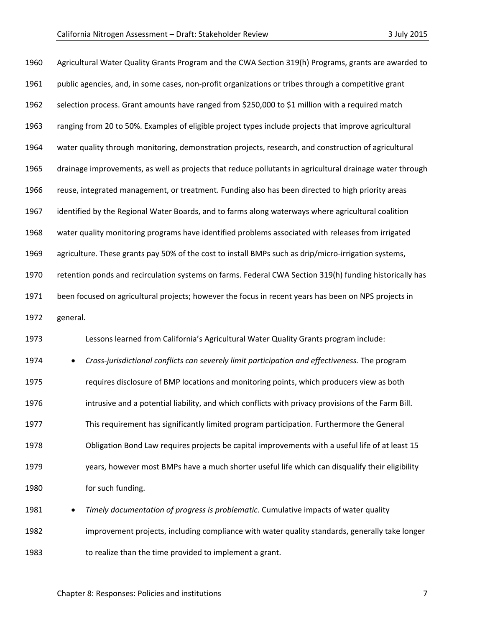| 1960 |          | Agricultural Water Quality Grants Program and the CWA Section 319(h) Programs, grants are awarded to     |
|------|----------|----------------------------------------------------------------------------------------------------------|
| 1961 |          | public agencies, and, in some cases, non-profit organizations or tribes through a competitive grant      |
| 1962 |          | selection process. Grant amounts have ranged from \$250,000 to \$1 million with a required match         |
| 1963 |          | ranging from 20 to 50%. Examples of eligible project types include projects that improve agricultural    |
| 1964 |          | water quality through monitoring, demonstration projects, research, and construction of agricultural     |
| 1965 |          | drainage improvements, as well as projects that reduce pollutants in agricultural drainage water through |
| 1966 |          | reuse, integrated management, or treatment. Funding also has been directed to high priority areas        |
| 1967 |          | identified by the Regional Water Boards, and to farms along waterways where agricultural coalition       |
| 1968 |          | water quality monitoring programs have identified problems associated with releases from irrigated       |
| 1969 |          | agriculture. These grants pay 50% of the cost to install BMPs such as drip/micro-irrigation systems,     |
| 1970 |          | retention ponds and recirculation systems on farms. Federal CWA Section 319(h) funding historically has  |
| 1971 |          | been focused on agricultural projects; however the focus in recent years has been on NPS projects in     |
| 1972 | general. |                                                                                                          |
| 1973 |          | Lessons learned from California's Agricultural Water Quality Grants program include:                     |
| 1974 |          | Cross-jurisdictional conflicts can severely limit participation and effectiveness. The program           |
| 1975 |          | requires disclosure of BMP locations and monitoring points, which producers view as both                 |
| 1976 |          | intrusive and a potential liability, and which conflicts with privacy provisions of the Farm Bill.       |
| 1977 |          | This requirement has significantly limited program participation. Furthermore the General                |
| 1978 |          | Obligation Bond Law requires projects be capital improvements with a useful life of at least 15          |
| 1979 |          | years, however most BMPs have a much shorter useful life which can disqualify their eligibility          |
| 1980 |          | for such funding.                                                                                        |
| 1981 | ٠        | Timely documentation of progress is problematic. Cumulative impacts of water quality                     |
| 1982 |          | improvement projects, including compliance with water quality standards, generally take longer           |
| 1983 |          | to realize than the time provided to implement a grant.                                                  |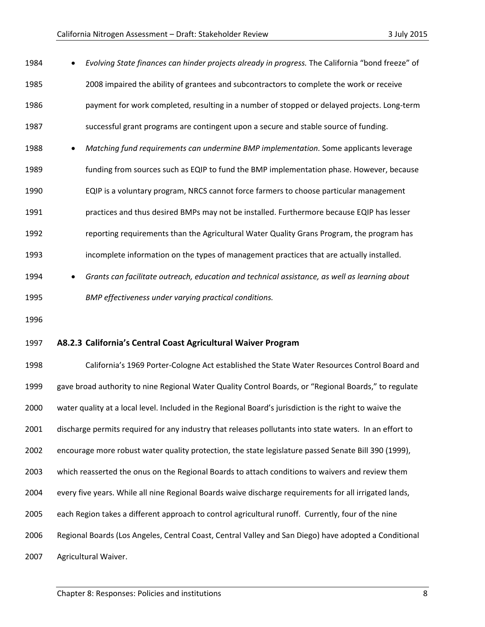| 1984 | Evolving State finances can hinder projects already in progress. The California "bond freeze" of        |
|------|---------------------------------------------------------------------------------------------------------|
| 1985 | 2008 impaired the ability of grantees and subcontractors to complete the work or receive                |
| 1986 | payment for work completed, resulting in a number of stopped or delayed projects. Long-term             |
| 1987 | successful grant programs are contingent upon a secure and stable source of funding.                    |
| 1988 | Matching fund requirements can undermine BMP implementation. Some applicants leverage                   |
| 1989 | funding from sources such as EQIP to fund the BMP implementation phase. However, because                |
| 1990 | EQIP is a voluntary program, NRCS cannot force farmers to choose particular management                  |
| 1991 | practices and thus desired BMPs may not be installed. Furthermore because EQIP has lesser               |
| 1992 | reporting requirements than the Agricultural Water Quality Grans Program, the program has               |
| 1993 | incomplete information on the types of management practices that are actually installed.                |
| 1994 | Grants can facilitate outreach, education and technical assistance, as well as learning about           |
| 1995 | BMP effectiveness under varying practical conditions.                                                   |
| 1996 |                                                                                                         |
| 1997 | A8.2.3 California's Central Coast Agricultural Waiver Program                                           |
| 1998 | California's 1969 Porter-Cologne Act established the State Water Resources Control Board and            |
| 1999 | gave broad authority to nine Regional Water Quality Control Boards, or "Regional Boards," to regulate   |
| 2000 | water quality at a local level. Included in the Regional Board's jurisdiction is the right to waive the |
| 2001 | discharge permits required for any industry that releases pollutants into state waters. In an effort to |
| 2002 | encourage more robust water quality protection, the state legislature passed Senate Bill 390 (1999),    |
| 2003 | which reasserted the onus on the Regional Boards to attach conditions to waivers and review them        |

- every five years. While all nine Regional Boards waive discharge requirements for all irrigated lands,
- each Region takes a different approach to control agricultural runoff. Currently, four of the nine
- Regional Boards (Los Angeles, Central Coast, Central Valley and San Diego) have adopted a Conditional
- Agricultural Waiver.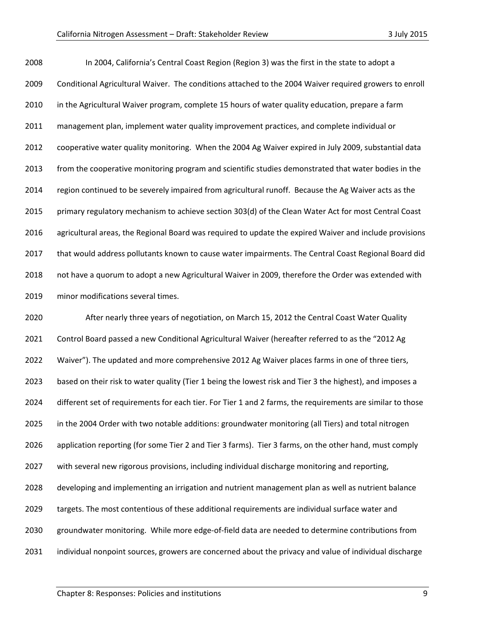In 2004, California's Central Coast Region (Region 3) was the first in the state to adopt a Conditional Agricultural Waiver. The conditions attached to the 2004 Waiver required growers to enroll in the Agricultural Waiver program, complete 15 hours of water quality education, prepare a farm management plan, implement water quality improvement practices, and complete individual or cooperative water quality monitoring. When the 2004 Ag Waiver expired in July 2009, substantial data 2013 from the cooperative monitoring program and scientific studies demonstrated that water bodies in the region continued to be severely impaired from agricultural runoff. Because the Ag Waiver acts as the primary regulatory mechanism to achieve section 303(d) of the Clean Water Act for most Central Coast agricultural areas, the Regional Board was required to update the expired Waiver and include provisions that would address pollutants known to cause water impairments. The Central Coast Regional Board did not have a quorum to adopt a new Agricultural Waiver in 2009, therefore the Order was extended with minor modifications several times.

 After nearly three years of negotiation, on March 15, 2012 the Central Coast Water Quality Control Board passed a new Conditional Agricultural Waiver (hereafter referred to as the "2012 Ag Waiver"). The updated and more comprehensive 2012 Ag Waiver places farms in one of three tiers, based on their risk to water quality (Tier 1 being the lowest risk and Tier 3 the highest), and imposes a different set of requirements for each tier. For Tier 1 and 2 farms, the requirements are similar to those in the 2004 Order with two notable additions: groundwater monitoring (all Tiers) and total nitrogen application reporting (for some Tier 2 and Tier 3 farms). Tier 3 farms, on the other hand, must comply with several new rigorous provisions, including individual discharge monitoring and reporting, developing and implementing an irrigation and nutrient management plan as well as nutrient balance targets. The most contentious of these additional requirements are individual surface water and groundwater monitoring. While more edge-of-field data are needed to determine contributions from individual nonpoint sources, growers are concerned about the privacy and value of individual discharge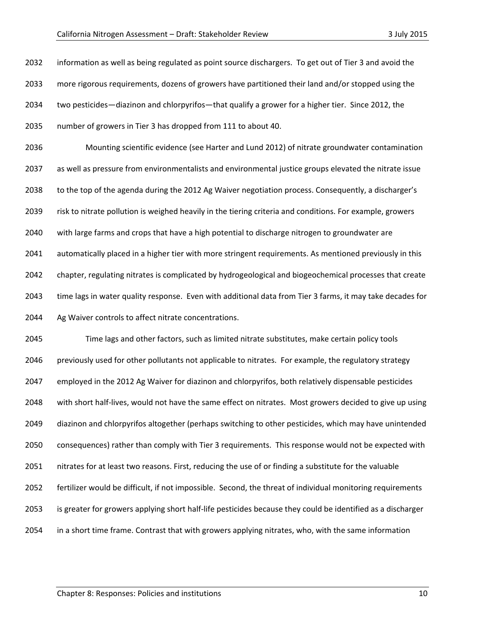information as well as being regulated as point source dischargers. To get out of Tier 3 and avoid the more rigorous requirements, dozens of growers have partitioned their land and/or stopped using the two pesticides—diazinon and chlorpyrifos—that qualify a grower for a higher tier. Since 2012, the number of growers in Tier 3 has dropped from 111 to about 40.

 Mounting scientific evidence (see Harter and Lund 2012) of nitrate groundwater contamination as well as pressure from environmentalists and environmental justice groups elevated the nitrate issue to the top of the agenda during the 2012 Ag Waiver negotiation process. Consequently, a discharger's risk to nitrate pollution is weighed heavily in the tiering criteria and conditions. For example, growers with large farms and crops that have a high potential to discharge nitrogen to groundwater are automatically placed in a higher tier with more stringent requirements. As mentioned previously in this chapter, regulating nitrates is complicated by hydrogeological and biogeochemical processes that create time lags in water quality response. Even with additional data from Tier 3 farms, it may take decades for Ag Waiver controls to affect nitrate concentrations.

 Time lags and other factors, such as limited nitrate substitutes, make certain policy tools 2046 previously used for other pollutants not applicable to nitrates. For example, the regulatory strategy employed in the 2012 Ag Waiver for diazinon and chlorpyrifos, both relatively dispensable pesticides with short half-lives, would not have the same effect on nitrates. Most growers decided to give up using diazinon and chlorpyrifos altogether (perhaps switching to other pesticides, which may have unintended consequences) rather than comply with Tier 3 requirements. This response would not be expected with nitrates for at least two reasons. First, reducing the use of or finding a substitute for the valuable fertilizer would be difficult, if not impossible. Second, the threat of individual monitoring requirements is greater for growers applying short half-life pesticides because they could be identified as a discharger in a short time frame. Contrast that with growers applying nitrates, who, with the same information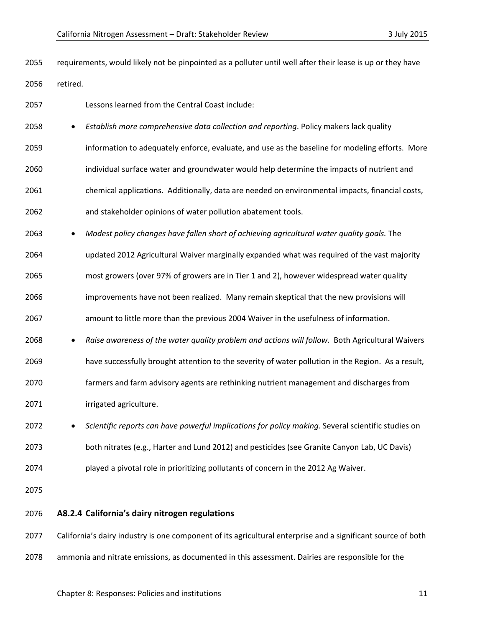requirements, would likely not be pinpointed as a polluter until well after their lease is up or they have retired.

- Lessons learned from the Central Coast include:
- *Establish more comprehensive data collection and reporting*. Policy makers lack quality
- information to adequately enforce, evaluate, and use as the baseline for modeling efforts. More
- individual surface water and groundwater would help determine the impacts of nutrient and
- chemical applications. Additionally, data are needed on environmental impacts, financial costs,
- and stakeholder opinions of water pollution abatement tools.
- *Modest policy changes have fallen short of achieving agricultural water quality goals.* The
- updated 2012 Agricultural Waiver marginally expanded what was required of the vast majority
- most growers (over 97% of growers are in Tier 1 and 2), however widespread water quality
- improvements have not been realized. Many remain skeptical that the new provisions will
- amount to little more than the previous 2004 Waiver in the usefulness of information.
- *Raise awareness of the water quality problem and actions will follow.* Both Agricultural Waivers
- have successfully brought attention to the severity of water pollution in the Region. As a result,
- farmers and farm advisory agents are rethinking nutrient management and discharges from
- irrigated agriculture.
- *Scientific reports can have powerful implications for policy making*. Several scientific studies on both nitrates (e.g., Harter and Lund 2012) and pesticides (see Granite Canyon Lab, UC Davis) played a pivotal role in prioritizing pollutants of concern in the 2012 Ag Waiver.

- **A8.2.4 California's dairy nitrogen regulations**
- 2077 California's dairy industry is one component of its agricultural enterprise and a significant source of both
- ammonia and nitrate emissions, as documented in this assessment. Dairies are responsible for the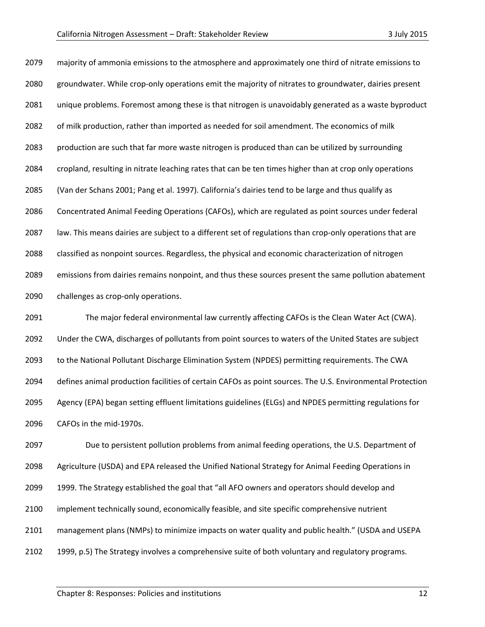majority of ammonia emissions to the atmosphere and approximately one third of nitrate emissions to groundwater. While crop-only operations emit the majority of nitrates to groundwater, dairies present unique problems. Foremost among these is that nitrogen is unavoidably generated as a waste byproduct of milk production, rather than imported as needed for soil amendment. The economics of milk production are such that far more waste nitrogen is produced than can be utilized by surrounding cropland, resulting in nitrate leaching rates that can be ten times higher than at crop only operations (Van der Schans 2001; Pang et al. 1997). California's dairies tend to be large and thus qualify as Concentrated Animal Feeding Operations (CAFOs), which are regulated as point sources under federal law. This means dairies are subject to a different set of regulations than crop-only operations that are classified as nonpoint sources. Regardless, the physical and economic characterization of nitrogen emissions from dairies remains nonpoint, and thus these sources present the same pollution abatement challenges as crop-only operations.

 The major federal environmental law currently affecting CAFOs is the Clean Water Act (CWA). Under the CWA, discharges of pollutants from point sources to waters of the United States are subject to the National Pollutant Discharge Elimination System (NPDES) permitting requirements. The CWA defines animal production facilities of certain CAFOs as point sources. The U.S. Environmental Protection Agency (EPA) began setting effluent limitations guidelines (ELGs) and NPDES permitting regulations for CAFOs in the mid-1970s.

 Due to persistent pollution problems from animal feeding operations, the U.S. Department of Agriculture (USDA) and EPA released the Unified National Strategy for Animal Feeding Operations in 1999. The Strategy established the goal that "all AFO owners and operators should develop and implement technically sound, economically feasible, and site specific comprehensive nutrient management plans (NMPs) to minimize impacts on water quality and public health." (USDA and USEPA 1999, p.5) The Strategy involves a comprehensive suite of both voluntary and regulatory programs.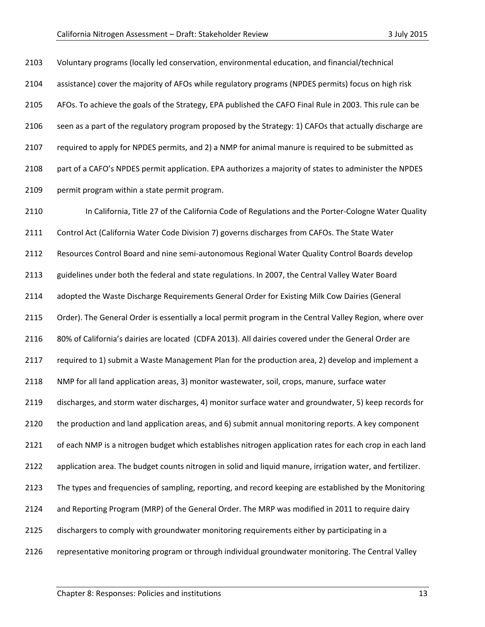Voluntary programs (locally led conservation, environmental education, and financial/technical assistance) cover the majority of AFOs while regulatory programs (NPDES permits) focus on high risk AFOs. To achieve the goals of the Strategy, EPA published the CAFO Final Rule in 2003. This rule can be seen as a part of the regulatory program proposed by the Strategy: 1) CAFOs that actually discharge are required to apply for NPDES permits, and 2) a NMP for animal manure is required to be submitted as part of a CAFO's NPDES permit application. EPA authorizes a majority of states to administer the NPDES permit program within a state permit program.

 In California, Title 27 of the California Code of Regulations and the Porter-Cologne Water Quality Control Act (California Water Code Division 7) governs discharges from CAFOs. The State Water Resources Control Board and nine semi-autonomous Regional Water Quality Control Boards develop guidelines under both the federal and state regulations. In 2007, the Central Valley Water Board adopted the Waste Discharge Requirements General Order for Existing Milk Cow Dairies (General Order). The General Order is essentially a local permit program in the Central Valley Region, where over 80% of California's dairies are located (CDFA 2013). All dairies covered under the General Order are required to 1) submit a Waste Management Plan for the production area, 2) develop and implement a NMP for all land application areas, 3) monitor wastewater, soil, crops, manure, surface water discharges, and storm water discharges, 4) monitor surface water and groundwater, 5) keep records for the production and land application areas, and 6) submit annual monitoring reports. A key component of each NMP is a nitrogen budget which establishes nitrogen application rates for each crop in each land application area. The budget counts nitrogen in solid and liquid manure, irrigation water, and fertilizer. The types and frequencies of sampling, reporting, and record keeping are established by the Monitoring and Reporting Program (MRP) of the General Order. The MRP was modified in 2011 to require dairy dischargers to comply with groundwater monitoring requirements either by participating in a representative monitoring program or through individual groundwater monitoring. The Central Valley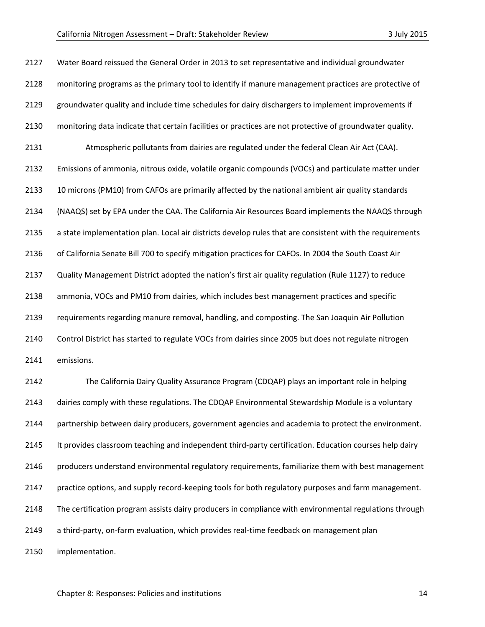| 2127 | Water Board reissued the General Order in 2013 to set representative and individual groundwater          |
|------|----------------------------------------------------------------------------------------------------------|
| 2128 | monitoring programs as the primary tool to identify if manure management practices are protective of     |
| 2129 | groundwater quality and include time schedules for dairy dischargers to implement improvements if        |
| 2130 | monitoring data indicate that certain facilities or practices are not protective of groundwater quality. |
| 2131 | Atmospheric pollutants from dairies are regulated under the federal Clean Air Act (CAA).                 |
| 2132 | Emissions of ammonia, nitrous oxide, volatile organic compounds (VOCs) and particulate matter under      |
| 2133 | 10 microns (PM10) from CAFOs are primarily affected by the national ambient air quality standards        |
| 2134 | (NAAQS) set by EPA under the CAA. The California Air Resources Board implements the NAAQS through        |
| 2135 | a state implementation plan. Local air districts develop rules that are consistent with the requirements |
| 2136 | of California Senate Bill 700 to specify mitigation practices for CAFOs. In 2004 the South Coast Air     |
| 2137 | Quality Management District adopted the nation's first air quality regulation (Rule 1127) to reduce      |
| 2138 | ammonia, VOCs and PM10 from dairies, which includes best management practices and specific               |
| 2139 | requirements regarding manure removal, handling, and composting. The San Joaquin Air Pollution           |
| 2140 | Control District has started to regulate VOCs from dairies since 2005 but does not regulate nitrogen     |
| 2141 | emissions.                                                                                               |
| 2142 | The California Dairy Quality Assurance Program (CDQAP) plays an important role in helping                |
| 2143 | dairies comply with these regulations. The CDQAP Environmental Stewardship Module is a voluntary         |
| 2144 | partnership between dairy producers, government agencies and academia to protect the environment.        |
| 2145 | It provides classroom teaching and independent third-party certification. Education courses help dairy   |
| 2146 | producers understand environmental regulatory requirements, familiarize them with best management        |
| 2147 | practice options, and supply record-keeping tools for both regulatory purposes and farm management.      |
| 2148 | The certification program assists dairy producers in compliance with environmental regulations through   |
| 2149 | a third-party, on-farm evaluation, which provides real-time feedback on management plan                  |
| 2150 | implementation.                                                                                          |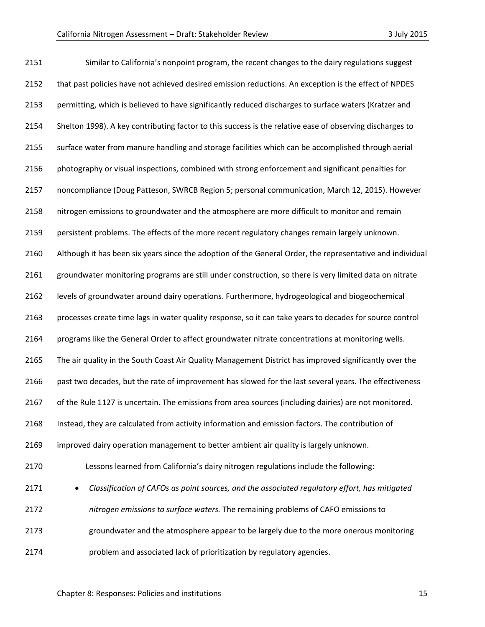| 2151 | Similar to California's nonpoint program, the recent changes to the dairy regulations suggest             |
|------|-----------------------------------------------------------------------------------------------------------|
| 2152 | that past policies have not achieved desired emission reductions. An exception is the effect of NPDES     |
| 2153 | permitting, which is believed to have significantly reduced discharges to surface waters (Kratzer and     |
| 2154 | Shelton 1998). A key contributing factor to this success is the relative ease of observing discharges to  |
| 2155 | surface water from manure handling and storage facilities which can be accomplished through aerial        |
| 2156 | photography or visual inspections, combined with strong enforcement and significant penalties for         |
| 2157 | noncompliance (Doug Patteson, SWRCB Region 5; personal communication, March 12, 2015). However            |
| 2158 | nitrogen emissions to groundwater and the atmosphere are more difficult to monitor and remain             |
| 2159 | persistent problems. The effects of the more recent regulatory changes remain largely unknown.            |
| 2160 | Although it has been six years since the adoption of the General Order, the representative and individual |
| 2161 | groundwater monitoring programs are still under construction, so there is very limited data on nitrate    |
| 2162 | levels of groundwater around dairy operations. Furthermore, hydrogeological and biogeochemical            |
| 2163 | processes create time lags in water quality response, so it can take years to decades for source control  |
| 2164 | programs like the General Order to affect groundwater nitrate concentrations at monitoring wells.         |
| 2165 | The air quality in the South Coast Air Quality Management District has improved significantly over the    |
| 2166 | past two decades, but the rate of improvement has slowed for the last several years. The effectiveness    |
| 2167 | of the Rule 1127 is uncertain. The emissions from area sources (including dairies) are not monitored.     |
| 2168 | Instead, they are calculated from activity information and emission factors. The contribution of          |
| 2169 | improved dairy operation management to better ambient air quality is largely unknown.                     |
| 2170 | Lessons learned from California's dairy nitrogen regulations include the following:                       |
| 2171 | Classification of CAFOs as point sources, and the associated regulatory effort, has mitigated             |
| 2172 | nitrogen emissions to surface waters. The remaining problems of CAFO emissions to                         |
| 2173 | groundwater and the atmosphere appear to be largely due to the more onerous monitoring                    |
| 2174 | problem and associated lack of prioritization by regulatory agencies.                                     |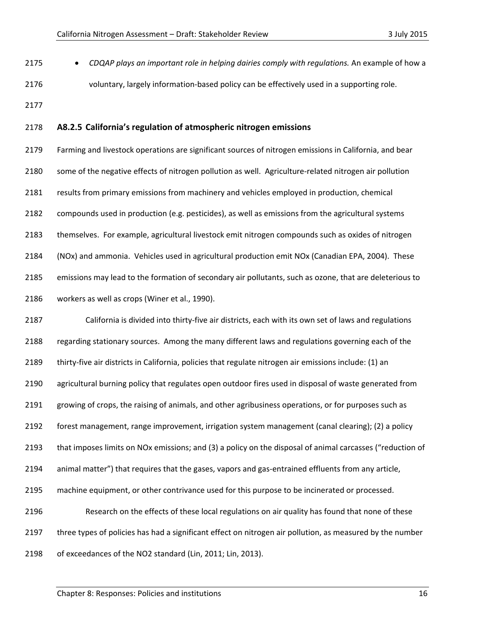- *CDQAP plays an important role in helping dairies comply with regulations.* An example of how a voluntary, largely information-based policy can be effectively used in a supporting role.
- 

#### **A8.2.5 California's regulation of atmospheric nitrogen emissions**

 Farming and livestock operations are significant sources of nitrogen emissions in California, and bear some of the negative effects of nitrogen pollution as well. Agriculture-related nitrogen air pollution results from primary emissions from machinery and vehicles employed in production, chemical compounds used in production (e.g. pesticides), as well as emissions from the agricultural systems themselves. For example, agricultural livestock emit nitrogen compounds such as oxides of nitrogen (NOx) and ammonia. Vehicles used in agricultural production emit NOx (Canadian EPA, 2004). These emissions may lead to the formation of secondary air pollutants, such as ozone, that are deleterious to workers as well as crops (Winer et al., 1990).

 California is divided into thirty-five air districts, each with its own set of laws and regulations regarding stationary sources. Among the many different laws and regulations governing each of the thirty-five air districts in California, policies that regulate nitrogen air emissions include: (1) an agricultural burning policy that regulates open outdoor fires used in disposal of waste generated from growing of crops, the raising of animals, and other agribusiness operations, or for purposes such as forest management, range improvement, irrigation system management (canal clearing); (2) a policy that imposes limits on NOx emissions; and (3) a policy on the disposal of animal carcasses ("reduction of animal matter") that requires that the gases, vapors and gas-entrained effluents from any article, machine equipment, or other contrivance used for this purpose to be incinerated or processed. Research on the effects of these local regulations on air quality has found that none of these three types of policies has had a significant effect on nitrogen air pollution, as measured by the number of exceedances of the NO2 standard (Lin, 2011; Lin, 2013).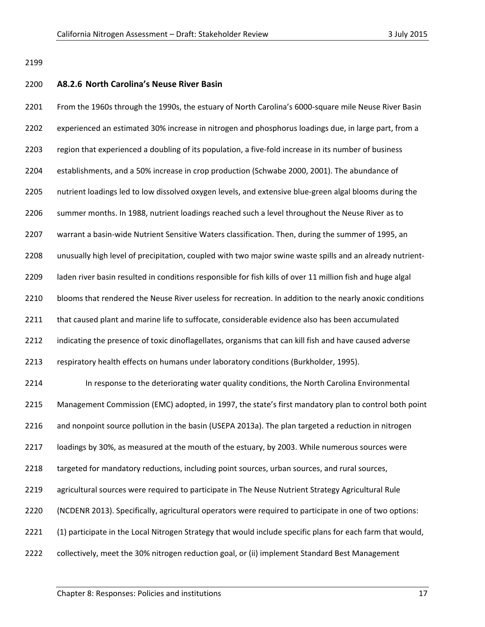#### **A8.2.6 North Carolina's Neuse River Basin**

 From the 1960s through the 1990s, the estuary of North Carolina's 6000-square mile Neuse River Basin experienced an estimated 30% increase in nitrogen and phosphorus loadings due, in large part, from a region that experienced a doubling of its population, a five-fold increase in its number of business establishments, and a 50% increase in crop production (Schwabe 2000, 2001). The abundance of nutrient loadings led to low dissolved oxygen levels, and extensive blue-green algal blooms during the summer months. In 1988, nutrient loadings reached such a level throughout the Neuse River as to warrant a basin-wide Nutrient Sensitive Waters classification. Then, during the summer of 1995, an unusually high level of precipitation, coupled with two major swine waste spills and an already nutrient- laden river basin resulted in conditions responsible for fish kills of over 11 million fish and huge algal blooms that rendered the Neuse River useless for recreation. In addition to the nearly anoxic conditions 2211 that caused plant and marine life to suffocate, considerable evidence also has been accumulated indicating the presence of toxic dinoflagellates, organisms that can kill fish and have caused adverse respiratory health effects on humans under laboratory conditions (Burkholder, 1995). In response to the deteriorating water quality conditions, the North Carolina Environmental Management Commission (EMC) adopted, in 1997, the state's first mandatory plan to control both point 2216 and nonpoint source pollution in the basin (USEPA 2013a). The plan targeted a reduction in nitrogen loadings by 30%, as measured at the mouth of the estuary, by 2003. While numerous sources were 2218 targeted for mandatory reductions, including point sources, urban sources, and rural sources, agricultural sources were required to participate in The Neuse Nutrient Strategy Agricultural Rule (NCDENR 2013). Specifically, agricultural operators were required to participate in one of two options: (1) participate in the Local Nitrogen Strategy that would include specific plans for each farm that would, collectively, meet the 30% nitrogen reduction goal, or (ii) implement Standard Best Management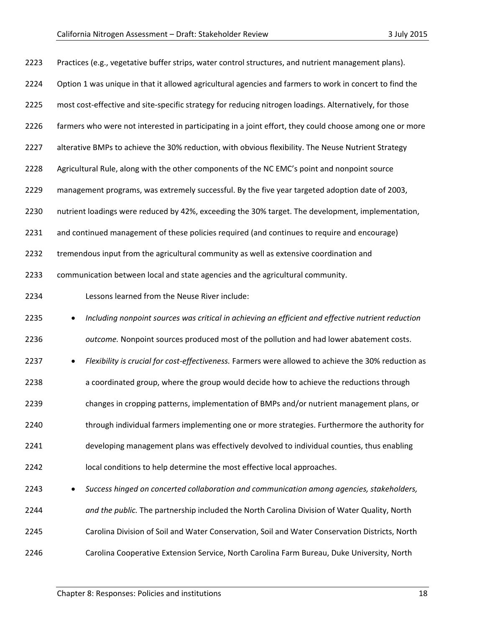| 2223 | Practices (e.g., vegetative buffer strips, water control structures, and nutrient management plans).    |
|------|---------------------------------------------------------------------------------------------------------|
| 2224 | Option 1 was unique in that it allowed agricultural agencies and farmers to work in concert to find the |
| 2225 | most cost-effective and site-specific strategy for reducing nitrogen loadings. Alternatively, for those |
| 2226 | farmers who were not interested in participating in a joint effort, they could choose among one or more |
| 2227 | alterative BMPs to achieve the 30% reduction, with obvious flexibility. The Neuse Nutrient Strategy     |
| 2228 | Agricultural Rule, along with the other components of the NC EMC's point and nonpoint source            |
| 2229 | management programs, was extremely successful. By the five year targeted adoption date of 2003,         |
| 2230 | nutrient loadings were reduced by 42%, exceeding the 30% target. The development, implementation,       |
| 2231 | and continued management of these policies required (and continues to require and encourage)            |
| 2232 | tremendous input from the agricultural community as well as extensive coordination and                  |
| 2233 | communication between local and state agencies and the agricultural community.                          |
| 2234 | Lessons learned from the Neuse River include:                                                           |
| 2235 | Including nonpoint sources was critical in achieving an efficient and effective nutrient reduction<br>٠ |
| 2236 | outcome. Nonpoint sources produced most of the pollution and had lower abatement costs.                 |
| 2237 | Flexibility is crucial for cost-effectiveness. Farmers were allowed to achieve the 30% reduction as     |
| 2238 | a coordinated group, where the group would decide how to achieve the reductions through                 |
| 2239 | changes in cropping patterns, implementation of BMPs and/or nutrient management plans, or               |
| 2240 | through individual farmers implementing one or more strategies. Furthermore the authority for           |
| 2241 | developing management plans was effectively devolved to individual counties, thus enabling              |
| 2242 | local conditions to help determine the most effective local approaches.                                 |
| 2243 | Success hinged on concerted collaboration and communication among agencies, stakeholders,               |
| 2244 | and the public. The partnership included the North Carolina Division of Water Quality, North            |
| 2245 | Carolina Division of Soil and Water Conservation, Soil and Water Conservation Districts, North          |
| 2246 | Carolina Cooperative Extension Service, North Carolina Farm Bureau, Duke University, North              |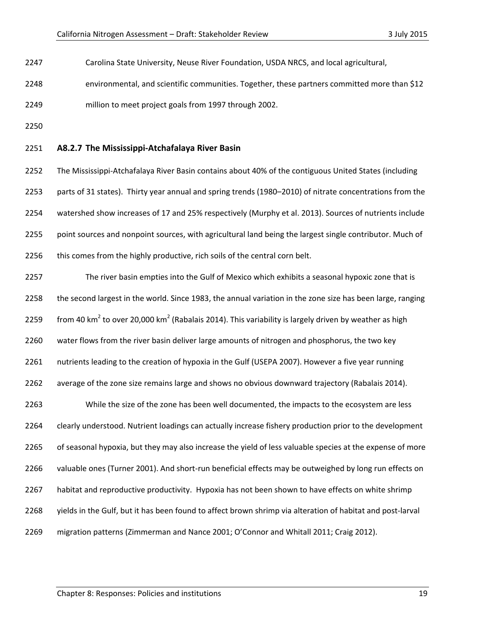Carolina State University, Neuse River Foundation, USDA NRCS, and local agricultural,

environmental, and scientific communities. Together, these partners committed more than \$12

- million to meet project goals from 1997 through 2002.
- 

#### **A8.2.7 The Mississippi-Atchafalaya River Basin**

 The Mississippi-Atchafalaya River Basin contains about 40% of the contiguous United States (including parts of 31 states). Thirty year annual and spring trends (1980–2010) of nitrate concentrations from the watershed show increases of 17 and 25% respectively (Murphy et al. 2013). Sources of nutrients include point sources and nonpoint sources, with agricultural land being the largest single contributor. Much of 2256 this comes from the highly productive, rich soils of the central corn belt.

 The river basin empties into the Gulf of Mexico which exhibits a seasonal hypoxic zone that is the second largest in the world. Since 1983, the annual variation in the zone size has been large, ranging 2259 from 40 km<sup>2</sup> to over 20,000 km<sup>2</sup> (Rabalais 2014). This variability is largely driven by weather as high water flows from the river basin deliver large amounts of nitrogen and phosphorus, the two key nutrients leading to the creation of hypoxia in the Gulf (USEPA 2007). However a five year running average of the zone size remains large and shows no obvious downward trajectory (Rabalais 2014). While the size of the zone has been well documented, the impacts to the ecosystem are less clearly understood. Nutrient loadings can actually increase fishery production prior to the development of seasonal hypoxia, but they may also increase the yield of less valuable species at the expense of more valuable ones (Turner 2001). And short-run beneficial effects may be outweighed by long run effects on habitat and reproductive productivity. Hypoxia has not been shown to have effects on white shrimp yields in the Gulf, but it has been found to affect brown shrimp via alteration of habitat and post-larval migration patterns (Zimmerman and Nance 2001; O'Connor and Whitall 2011; Craig 2012).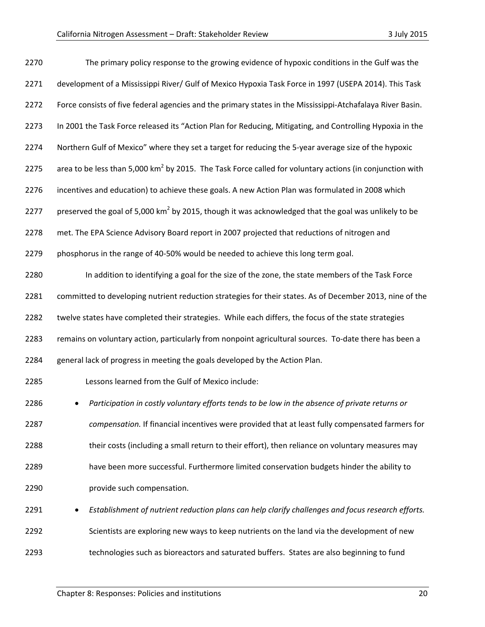| 2270 | The primary policy response to the growing evidence of hypoxic conditions in the Gulf was the                        |
|------|----------------------------------------------------------------------------------------------------------------------|
| 2271 | development of a Mississippi River/ Gulf of Mexico Hypoxia Task Force in 1997 (USEPA 2014). This Task                |
| 2272 | Force consists of five federal agencies and the primary states in the Mississippi-Atchafalaya River Basin.           |
| 2273 | In 2001 the Task Force released its "Action Plan for Reducing, Mitigating, and Controlling Hypoxia in the            |
| 2274 | Northern Gulf of Mexico" where they set a target for reducing the 5-year average size of the hypoxic                 |
| 2275 | area to be less than 5,000 km <sup>2</sup> by 2015. The Task Force called for voluntary actions (in conjunction with |
| 2276 | incentives and education) to achieve these goals. A new Action Plan was formulated in 2008 which                     |
| 2277 | preserved the goal of 5,000 km <sup>2</sup> by 2015, though it was acknowledged that the goal was unlikely to be     |
| 2278 | met. The EPA Science Advisory Board report in 2007 projected that reductions of nitrogen and                         |
| 2279 | phosphorus in the range of 40-50% would be needed to achieve this long term goal.                                    |
| 2280 | In addition to identifying a goal for the size of the zone, the state members of the Task Force                      |
| 2281 | committed to developing nutrient reduction strategies for their states. As of December 2013, nine of the             |
| 2282 | twelve states have completed their strategies. While each differs, the focus of the state strategies                 |
| 2283 | remains on voluntary action, particularly from nonpoint agricultural sources. To-date there has been a               |
| 2284 | general lack of progress in meeting the goals developed by the Action Plan.                                          |
| 2285 | Lessons learned from the Gulf of Mexico include:                                                                     |
| 2286 | Participation in costly voluntary efforts tends to be low in the absence of private returns or                       |
| 2287 | compensation. If financial incentives were provided that at least fully compensated farmers for                      |
| 2288 | their costs (including a small return to their effort), then reliance on voluntary measures may                      |
| 2289 | have been more successful. Furthermore limited conservation budgets hinder the ability to                            |
| 2290 | provide such compensation.                                                                                           |
| 2291 | Establishment of nutrient reduction plans can help clarify challenges and focus research efforts.                    |
| 2292 | Scientists are exploring new ways to keep nutrients on the land via the development of new                           |
| 2293 | technologies such as bioreactors and saturated buffers. States are also beginning to fund                            |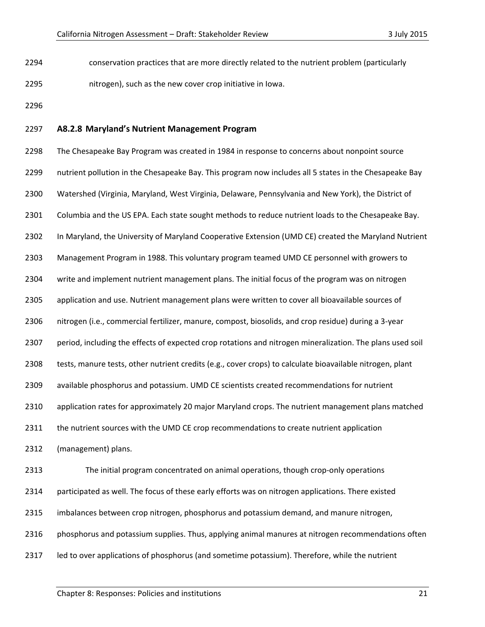conservation practices that are more directly related to the nutrient problem (particularly nitrogen), such as the new cover crop initiative in Iowa.

#### **A8.2.8 Maryland's Nutrient Management Program**

 The Chesapeake Bay Program was created in 1984 in response to concerns about nonpoint source nutrient pollution in the Chesapeake Bay. This program now includes all 5 states in the Chesapeake Bay Watershed (Virginia, Maryland, West Virginia, Delaware, Pennsylvania and New York), the District of Columbia and the US EPA. Each state sought methods to reduce nutrient loads to the Chesapeake Bay. In Maryland, the University of Maryland Cooperative Extension (UMD CE) created the Maryland Nutrient Management Program in 1988. This voluntary program teamed UMD CE personnel with growers to write and implement nutrient management plans. The initial focus of the program was on nitrogen application and use. Nutrient management plans were written to cover all bioavailable sources of nitrogen (i.e., commercial fertilizer, manure, compost, biosolids, and crop residue) during a 3-year period, including the effects of expected crop rotations and nitrogen mineralization. The plans used soil tests, manure tests, other nutrient credits (e.g., cover crops) to calculate bioavailable nitrogen, plant available phosphorus and potassium. UMD CE scientists created recommendations for nutrient application rates for approximately 20 major Maryland crops. The nutrient management plans matched 2311 the nutrient sources with the UMD CE crop recommendations to create nutrient application (management) plans. The initial program concentrated on animal operations, though crop-only operations participated as well. The focus of these early efforts was on nitrogen applications. There existed imbalances between crop nitrogen, phosphorus and potassium demand, and manure nitrogen, 2316 phosphorus and potassium supplies. Thus, applying animal manures at nitrogen recommendations often 2317 led to over applications of phosphorus (and sometime potassium). Therefore, while the nutrient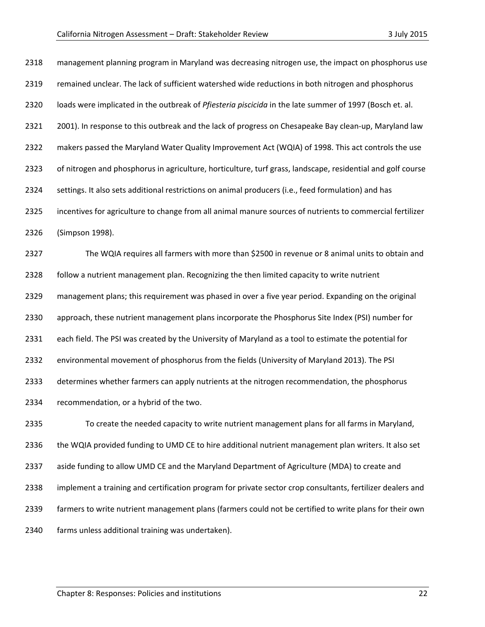| 2318 | management planning program in Maryland was decreasing nitrogen use, the impact on phosphorus use           |
|------|-------------------------------------------------------------------------------------------------------------|
| 2319 | remained unclear. The lack of sufficient watershed wide reductions in both nitrogen and phosphorus          |
| 2320 | loads were implicated in the outbreak of Pfiesteria piscicida in the late summer of 1997 (Bosch et. al.     |
| 2321 | 2001). In response to this outbreak and the lack of progress on Chesapeake Bay clean-up, Maryland law       |
| 2322 | makers passed the Maryland Water Quality Improvement Act (WQIA) of 1998. This act controls the use          |
| 2323 | of nitrogen and phosphorus in agriculture, horticulture, turf grass, landscape, residential and golf course |
| 2324 | settings. It also sets additional restrictions on animal producers (i.e., feed formulation) and has         |
| 2325 | incentives for agriculture to change from all animal manure sources of nutrients to commercial fertilizer   |
| 2326 | (Simpson 1998).                                                                                             |
| 2327 | The WQIA requires all farmers with more than \$2500 in revenue or 8 animal units to obtain and              |
| 2328 | follow a nutrient management plan. Recognizing the then limited capacity to write nutrient                  |
| 2329 | management plans; this requirement was phased in over a five year period. Expanding on the original         |
| 2330 | approach, these nutrient management plans incorporate the Phosphorus Site Index (PSI) number for            |
| 2331 | each field. The PSI was created by the University of Maryland as a tool to estimate the potential for       |
| 2332 | environmental movement of phosphorus from the fields (University of Maryland 2013). The PSI                 |
| 2333 | determines whether farmers can apply nutrients at the nitrogen recommendation, the phosphorus               |
| 2334 | recommendation, or a hybrid of the two.                                                                     |
| 2335 | To create the needed capacity to write nutrient management plans for all farms in Maryland,                 |
| 2336 | the WQIA provided funding to UMD CE to hire additional nutrient management plan writers. It also set        |
| 2337 | aside funding to allow UMD CE and the Maryland Department of Agriculture (MDA) to create and                |

implement a training and certification program for private sector crop consultants, fertilizer dealers and

farmers to write nutrient management plans (farmers could not be certified to write plans for their own

farms unless additional training was undertaken).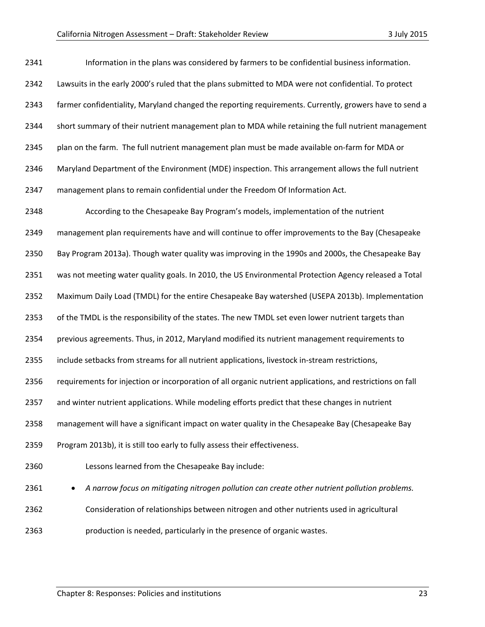| 2341 | Information in the plans was considered by farmers to be confidential business information.                |
|------|------------------------------------------------------------------------------------------------------------|
| 2342 | Lawsuits in the early 2000's ruled that the plans submitted to MDA were not confidential. To protect       |
| 2343 | farmer confidentiality, Maryland changed the reporting requirements. Currently, growers have to send a     |
| 2344 | short summary of their nutrient management plan to MDA while retaining the full nutrient management        |
| 2345 | plan on the farm. The full nutrient management plan must be made available on-farm for MDA or              |
| 2346 | Maryland Department of the Environment (MDE) inspection. This arrangement allows the full nutrient         |
| 2347 | management plans to remain confidential under the Freedom Of Information Act.                              |
| 2348 | According to the Chesapeake Bay Program's models, implementation of the nutrient                           |
| 2349 | management plan requirements have and will continue to offer improvements to the Bay (Chesapeake           |
| 2350 | Bay Program 2013a). Though water quality was improving in the 1990s and 2000s, the Chesapeake Bay          |
| 2351 | was not meeting water quality goals. In 2010, the US Environmental Protection Agency released a Total      |
| 2352 | Maximum Daily Load (TMDL) for the entire Chesapeake Bay watershed (USEPA 2013b). Implementation            |
| 2353 | of the TMDL is the responsibility of the states. The new TMDL set even lower nutrient targets than         |
| 2354 | previous agreements. Thus, in 2012, Maryland modified its nutrient management requirements to              |
| 2355 | include setbacks from streams for all nutrient applications, livestock in-stream restrictions,             |
| 2356 | requirements for injection or incorporation of all organic nutrient applications, and restrictions on fall |
| 2357 | and winter nutrient applications. While modeling efforts predict that these changes in nutrient            |
| 2358 | management will have a significant impact on water quality in the Chesapeake Bay (Chesapeake Bay           |
| 2359 | Program 2013b), it is still too early to fully assess their effectiveness.                                 |
| 2360 | Lessons learned from the Chesapeake Bay include:                                                           |
| 2361 | A narrow focus on mitigating nitrogen pollution can create other nutrient pollution problems.              |
| 2362 | Consideration of relationships between nitrogen and other nutrients used in agricultural                   |
| 2363 | production is needed, particularly in the presence of organic wastes.                                      |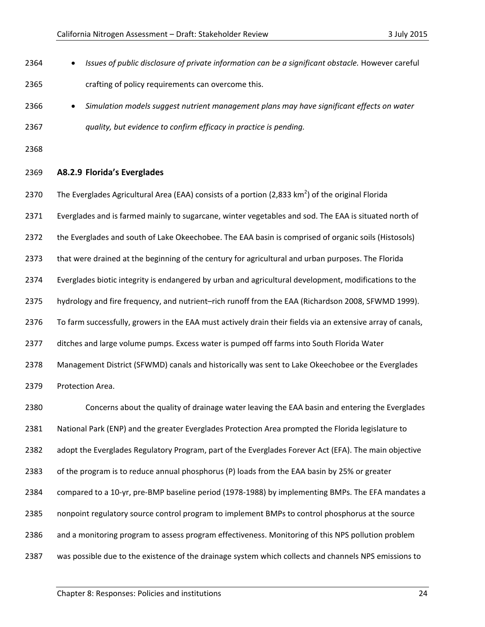- *Issues of public disclosure of private information can be a significant obstacle.* However careful crafting of policy requirements can overcome this.
- *Simulation models suggest nutrient management plans may have significant effects on water quality, but evidence to confirm efficacy in practice is pending.*

#### **A8.2.9 Florida's Everglades**

2370 The Everglades Agricultural Area (EAA) consists of a portion (2,833 km<sup>2</sup>) of the original Florida

Everglades and is farmed mainly to sugarcane, winter vegetables and sod. The EAA is situated north of

the Everglades and south of Lake Okeechobee. The EAA basin is comprised of organic soils (Histosols)

that were drained at the beginning of the century for agricultural and urban purposes. The Florida

Everglades biotic integrity is endangered by urban and agricultural development, modifications to the

hydrology and fire frequency, and nutrient–rich runoff from the EAA (Richardson 2008, SFWMD 1999).

To farm successfully, growers in the EAA must actively drain their fields via an extensive array of canals,

ditches and large volume pumps. Excess water is pumped off farms into South Florida Water

Management District (SFWMD) canals and historically was sent to Lake Okeechobee or the Everglades

Protection Area.

 Concerns about the quality of drainage water leaving the EAA basin and entering the Everglades National Park (ENP) and the greater Everglades Protection Area prompted the Florida legislature to 2382 adopt the Everglades Regulatory Program, part of the Everglades Forever Act (EFA). The main objective of the program is to reduce annual phosphorus (P) loads from the EAA basin by 25% or greater compared to a 10-yr, pre-BMP baseline period (1978-1988) by implementing BMPs. The EFA mandates a nonpoint regulatory source control program to implement BMPs to control phosphorus at the source and a monitoring program to assess program effectiveness. Monitoring of this NPS pollution problem was possible due to the existence of the drainage system which collects and channels NPS emissions to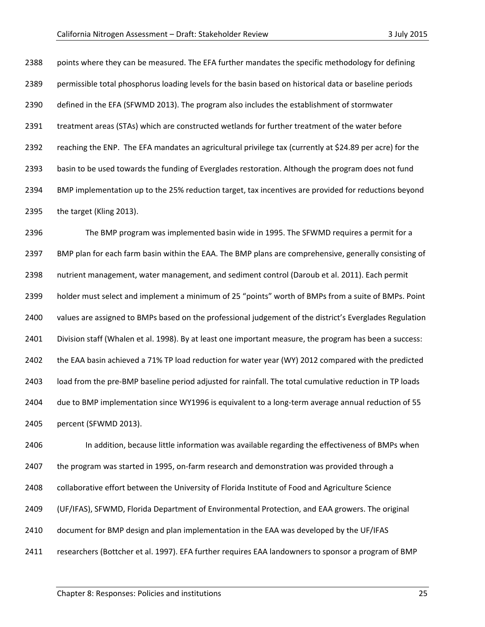points where they can be measured. The EFA further mandates the specific methodology for defining permissible total phosphorus loading levels for the basin based on historical data or baseline periods defined in the EFA (SFWMD 2013). The program also includes the establishment of stormwater treatment areas (STAs) which are constructed wetlands for further treatment of the water before reaching the ENP. The EFA mandates an agricultural privilege tax (currently at \$24.89 per acre) for the basin to be used towards the funding of Everglades restoration. Although the program does not fund BMP implementation up to the 25% reduction target, tax incentives are provided for reductions beyond the target (Kling 2013).

 The BMP program was implemented basin wide in 1995. The SFWMD requires a permit for a BMP plan for each farm basin within the EAA. The BMP plans are comprehensive, generally consisting of nutrient management, water management, and sediment control (Daroub et al. 2011). Each permit holder must select and implement a minimum of 25 "points" worth of BMPs from a suite of BMPs. Point values are assigned to BMPs based on the professional judgement of the district's Everglades Regulation Division staff (Whalen et al. 1998). By at least one important measure, the program has been a success: the EAA basin achieved a 71% TP load reduction for water year (WY) 2012 compared with the predicted load from the pre-BMP baseline period adjusted for rainfall. The total cumulative reduction in TP loads due to BMP implementation since WY1996 is equivalent to a long-term average annual reduction of 55 percent (SFWMD 2013).

 In addition, because little information was available regarding the effectiveness of BMPs when the program was started in 1995, on-farm research and demonstration was provided through a collaborative effort between the University of Florida Institute of Food and Agriculture Science (UF/IFAS), SFWMD, Florida Department of Environmental Protection, and EAA growers. The original document for BMP design and plan implementation in the EAA was developed by the UF/IFAS researchers (Bottcher et al. 1997). EFA further requires EAA landowners to sponsor a program of BMP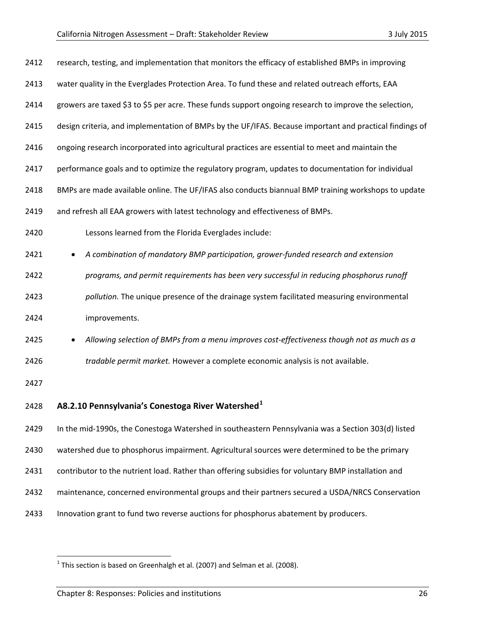| 2412 | research, testing, and implementation that monitors the efficacy of established BMPs in improving       |
|------|---------------------------------------------------------------------------------------------------------|
| 2413 | water quality in the Everglades Protection Area. To fund these and related outreach efforts, EAA        |
| 2414 | growers are taxed \$3 to \$5 per acre. These funds support ongoing research to improve the selection,   |
| 2415 | design criteria, and implementation of BMPs by the UF/IFAS. Because important and practical findings of |
| 2416 | ongoing research incorporated into agricultural practices are essential to meet and maintain the        |
| 2417 | performance goals and to optimize the regulatory program, updates to documentation for individual       |
| 2418 | BMPs are made available online. The UF/IFAS also conducts biannual BMP training workshops to update     |
| 2419 | and refresh all EAA growers with latest technology and effectiveness of BMPs.                           |
| 2420 | Lessons learned from the Florida Everglades include:                                                    |
| 2421 | A combination of mandatory BMP participation, grower-funded research and extension                      |
| 2422 | programs, and permit requirements has been very successful in reducing phosphorus runoff                |
| 2423 | pollution. The unique presence of the drainage system facilitated measuring environmental               |
| 2424 | improvements.                                                                                           |
| 2425 | Allowing selection of BMPs from a menu improves cost-effectiveness though not as much as a              |
| 2426 | tradable permit market. However a complete economic analysis is not available.                          |
| 2427 |                                                                                                         |
| 2428 | A8.2.10 Pennsylvania's Conestoga River Watershed <sup>1</sup>                                           |
| 2429 | In the mid-1990s, the Conestoga Watershed in southeastern Pennsylvania was a Section 303(d) listed      |
| 2430 | watershed due to phosphorus impairment. Agricultural sources were determined to be the primary          |
| 2431 | contributor to the nutrient load. Rather than offering subsidies for voluntary BMP installation and     |
| 2432 | maintenance, concerned environmental groups and their partners secured a USDA/NRCS Conservation         |
| 2433 | Innovation grant to fund two reverse auctions for phosphorus abatement by producers.                    |

<span id="page-25-0"></span><sup>&</sup>lt;sup>1</sup> This section is based on Greenhalgh et al. (2007) and Selman et al. (2008).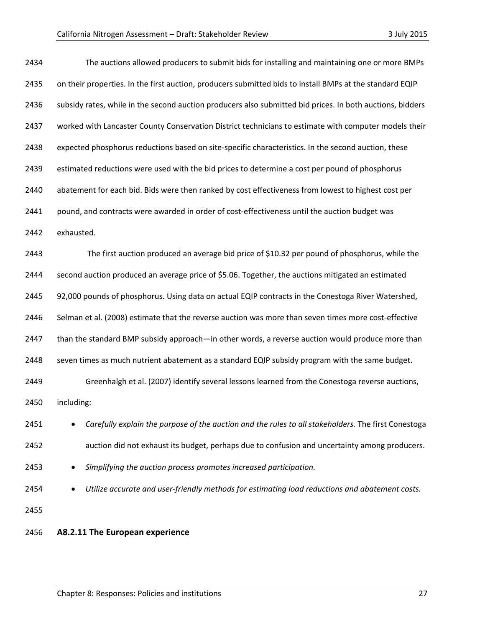| 2434 | The auctions allowed producers to submit bids for installing and maintaining one or more BMPs             |
|------|-----------------------------------------------------------------------------------------------------------|
| 2435 | on their properties. In the first auction, producers submitted bids to install BMPs at the standard EQIP  |
| 2436 | subsidy rates, while in the second auction producers also submitted bid prices. In both auctions, bidders |
| 2437 | worked with Lancaster County Conservation District technicians to estimate with computer models their     |
| 2438 | expected phosphorus reductions based on site-specific characteristics. In the second auction, these       |
| 2439 | estimated reductions were used with the bid prices to determine a cost per pound of phosphorus            |
| 2440 | abatement for each bid. Bids were then ranked by cost effectiveness from lowest to highest cost per       |
| 2441 | pound, and contracts were awarded in order of cost-effectiveness until the auction budget was             |
| 2442 | exhausted.                                                                                                |
| 2443 | The first auction produced an average bid price of \$10.32 per pound of phosphorus, while the             |
| 2444 | second auction produced an average price of \$5.06. Together, the auctions mitigated an estimated         |
| 2445 | 92,000 pounds of phosphorus. Using data on actual EQIP contracts in the Conestoga River Watershed,        |
| 2446 | Selman et al. (2008) estimate that the reverse auction was more than seven times more cost-effective      |
| 2447 | than the standard BMP subsidy approach—in other words, a reverse auction would produce more than          |
| 2448 | seven times as much nutrient abatement as a standard EQIP subsidy program with the same budget.           |
| 2449 | Greenhalgh et al. (2007) identify several lessons learned from the Conestoga reverse auctions,            |
| 2450 | including:                                                                                                |
| 2451 | Carefully explain the purpose of the auction and the rules to all stakeholders. The first Conestoga       |
| 2452 | auction did not exhaust its budget, perhaps due to confusion and uncertainty among producers.             |
| 2453 | Simplifying the auction process promotes increased participation.                                         |
| 2454 | Utilize accurate and user-friendly methods for estimating load reductions and abatement costs.            |
| 2455 |                                                                                                           |
| 2456 | A8.2.11 The European experience                                                                           |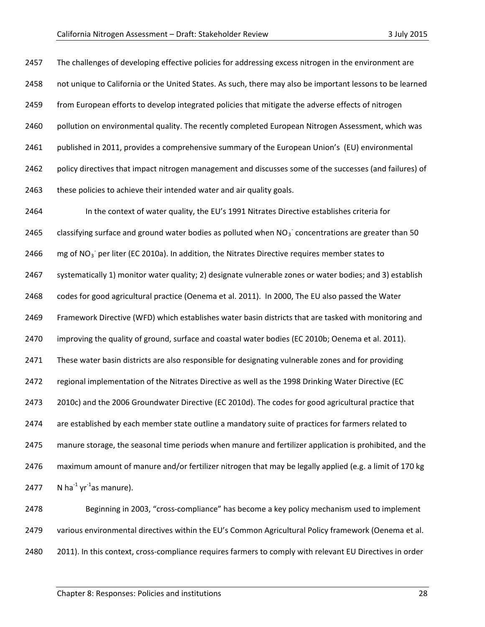2457 The challenges of developing effective policies for addressing excess nitrogen in the environment are not unique to California or the United States. As such, there may also be important lessons to be learned from European efforts to develop integrated policies that mitigate the adverse effects of nitrogen 2460 pollution on environmental quality. The recently completed European Nitrogen Assessment, which was published in 2011, provides a comprehensive summary of the European Union's (EU) environmental policy directives that impact nitrogen management and discusses some of the successes (and failures) of 2463 these policies to achieve their intended water and air quality goals. In the context of water quality, the EU's 1991 Nitrates Directive establishes criteria for 2465 classifying surface and ground water bodies as polluted when  $NO<sub>3</sub>$  concentrations are greater than 50  $\equiv$  mg of NO<sub>3</sub><sup>-</sup> per liter (EC 2010a). In addition, the Nitrates Directive requires member states to systematically 1) monitor water quality; 2) designate vulnerable zones or water bodies; and 3) establish codes for good agricultural practice (Oenema et al. 2011). In 2000, The EU also passed the Water Framework Directive (WFD) which establishes water basin districts that are tasked with monitoring and improving the quality of ground, surface and coastal water bodies (EC 2010b; Oenema et al. 2011). These water basin districts are also responsible for designating vulnerable zones and for providing regional implementation of the Nitrates Directive as well as the 1998 Drinking Water Directive (EC 2010c) and the 2006 Groundwater Directive (EC 2010d). The codes for good agricultural practice that are established by each member state outline a mandatory suite of practices for farmers related to manure storage, the seasonal time periods when manure and fertilizer application is prohibited, and the maximum amount of manure and/or fertilizer nitrogen that may be legally applied (e.g. a limit of 170 kg 2477 N ha $^{-1}$  yr $^{-1}$ as manure).

 Beginning in 2003, "cross-compliance" has become a key policy mechanism used to implement various environmental directives within the EU's Common Agricultural Policy framework (Oenema et al. 2011). In this context, cross-compliance requires farmers to comply with relevant EU Directives in order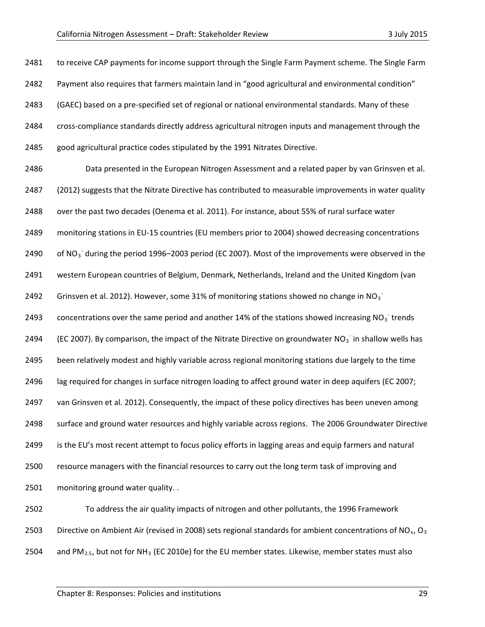| 2481 | to receive CAP payments for income support through the Single Farm Payment scheme. The Single Farm                                |
|------|-----------------------------------------------------------------------------------------------------------------------------------|
| 2482 | Payment also requires that farmers maintain land in "good agricultural and environmental condition"                               |
| 2483 | (GAEC) based on a pre-specified set of regional or national environmental standards. Many of these                                |
| 2484 | cross-compliance standards directly address agricultural nitrogen inputs and management through the                               |
| 2485 | good agricultural practice codes stipulated by the 1991 Nitrates Directive.                                                       |
| 2486 | Data presented in the European Nitrogen Assessment and a related paper by van Grinsven et al.                                     |
| 2487 | (2012) suggests that the Nitrate Directive has contributed to measurable improvements in water quality                            |
| 2488 | over the past two decades (Oenema et al. 2011). For instance, about 55% of rural surface water                                    |
| 2489 | monitoring stations in EU-15 countries (EU members prior to 2004) showed decreasing concentrations                                |
| 2490 | of NO <sub>3</sub> during the period 1996-2003 period (EC 2007). Most of the improvements were observed in the                    |
| 2491 | western European countries of Belgium, Denmark, Netherlands, Ireland and the United Kingdom (van                                  |
| 2492 | Grinsven et al. 2012). However, some 31% of monitoring stations showed no change in NO <sub>3</sub>                               |
| 2493 | concentrations over the same period and another 14% of the stations showed increasing $NO3$ trends                                |
| 2494 | (EC 2007). By comparison, the impact of the Nitrate Directive on groundwater $NO3$ in shallow wells has                           |
| 2495 | been relatively modest and highly variable across regional monitoring stations due largely to the time                            |
| 2496 | lag required for changes in surface nitrogen loading to affect ground water in deep aquifers (EC 2007;                            |
| 2497 | van Grinsven et al. 2012). Consequently, the impact of these policy directives has been uneven among                              |
| 2498 | surface and ground water resources and highly variable across regions. The 2006 Groundwater Directive                             |
| 2499 | is the EU's most recent attempt to focus policy efforts in lagging areas and equip farmers and natural                            |
| 2500 | resource managers with the financial resources to carry out the long term task of improving and                                   |
| 2501 | monitoring ground water quality. .                                                                                                |
| 2502 | To address the air quality impacts of nitrogen and other pollutants, the 1996 Framework                                           |
| 2503 | Directive on Ambient Air (revised in 2008) sets regional standards for ambient concentrations of NO <sub>x</sub> , O <sub>3</sub> |
| 2504 | and $PM_{2.5}$ , but not for NH <sub>3</sub> (EC 2010e) for the EU member states. Likewise, member states must also               |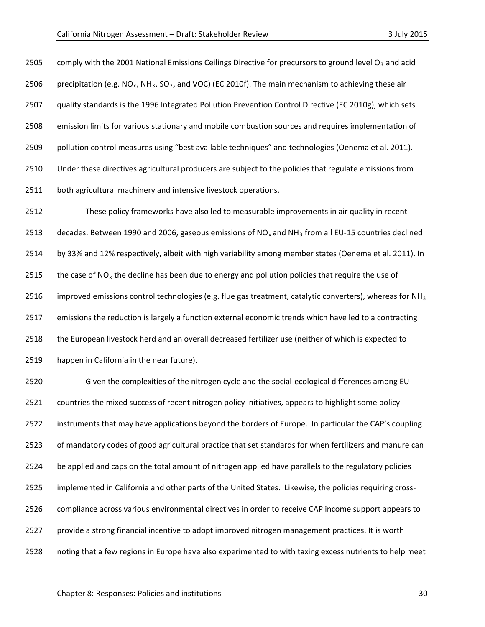2505 comply with the 2001 National Emissions Ceilings Directive for precursors to ground level  $O_3$  and acid 2506 precipitation (e.g. NO<sub>x</sub>, NH<sub>3</sub>, SO<sub>2</sub>, and VOC) (EC 2010f). The main mechanism to achieving these air quality standards is the 1996 Integrated Pollution Prevention Control Directive (EC 2010g), which sets emission limits for various stationary and mobile combustion sources and requires implementation of pollution control measures using "best available techniques" and technologies (Oenema et al. 2011). Under these directives agricultural producers are subject to the policies that regulate emissions from 2511 both agricultural machinery and intensive livestock operations.

 These policy frameworks have also led to measurable improvements in air quality in recent 2513 decades. Between 1990 and 2006, gaseous emissions of  $NO_x$  and  $NH_3$  from all EU-15 countries declined by 33% and 12% respectively, albeit with high variability among member states (Oenema et al. 2011). In 2515 the case of NO<sub>x</sub> the decline has been due to energy and pollution policies that require the use of 2516 improved emissions control technologies (e.g. flue gas treatment, catalytic converters), whereas for NH<sub>3</sub> emissions the reduction is largely a function external economic trends which have led to a contracting the European livestock herd and an overall decreased fertilizer use (neither of which is expected to happen in California in the near future).

 Given the complexities of the nitrogen cycle and the social-ecological differences among EU countries the mixed success of recent nitrogen policy initiatives, appears to highlight some policy instruments that may have applications beyond the borders of Europe. In particular the CAP's coupling of mandatory codes of good agricultural practice that set standards for when fertilizers and manure can be applied and caps on the total amount of nitrogen applied have parallels to the regulatory policies implemented in California and other parts of the United States. Likewise, the policies requiring cross- compliance across various environmental directives in order to receive CAP income support appears to provide a strong financial incentive to adopt improved nitrogen management practices. It is worth noting that a few regions in Europe have also experimented to with taxing excess nutrients to help meet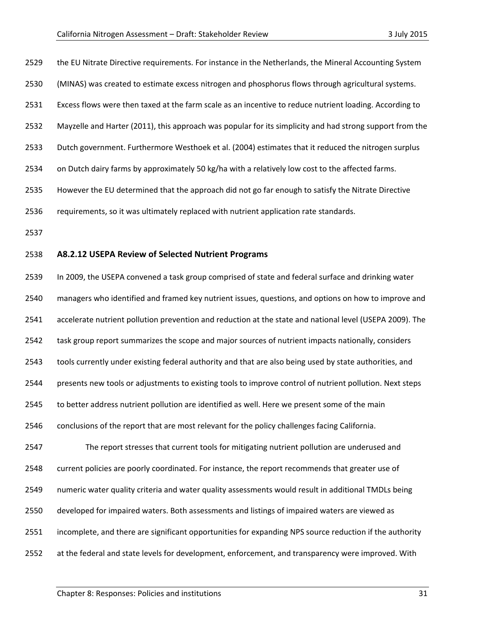the EU Nitrate Directive requirements. For instance in the Netherlands, the Mineral Accounting System (MINAS) was created to estimate excess nitrogen and phosphorus flows through agricultural systems. Excess flows were then taxed at the farm scale as an incentive to reduce nutrient loading. According to Mayzelle and Harter (2011), this approach was popular for its simplicity and had strong support from the Dutch government. Furthermore Westhoek et al. (2004) estimates that it reduced the nitrogen surplus on Dutch dairy farms by approximately 50 kg/ha with a relatively low cost to the affected farms. However the EU determined that the approach did not go far enough to satisfy the Nitrate Directive requirements, so it was ultimately replaced with nutrient application rate standards. **A8.2.12 USEPA Review of Selected Nutrient Programs** In 2009, the USEPA convened a task group comprised of state and federal surface and drinking water

 managers who identified and framed key nutrient issues, questions, and options on how to improve and accelerate nutrient pollution prevention and reduction at the state and national level (USEPA 2009). The task group report summarizes the scope and major sources of nutrient impacts nationally, considers tools currently under existing federal authority and that are also being used by state authorities, and presents new tools or adjustments to existing tools to improve control of nutrient pollution. Next steps to better address nutrient pollution are identified as well. Here we present some of the main conclusions of the report that are most relevant for the policy challenges facing California. The report stresses that current tools for mitigating nutrient pollution are underused and current policies are poorly coordinated. For instance, the report recommends that greater use of numeric water quality criteria and water quality assessments would result in additional TMDLs being developed for impaired waters. Both assessments and listings of impaired waters are viewed as incomplete, and there are significant opportunities for expanding NPS source reduction if the authority at the federal and state levels for development, enforcement, and transparency were improved. With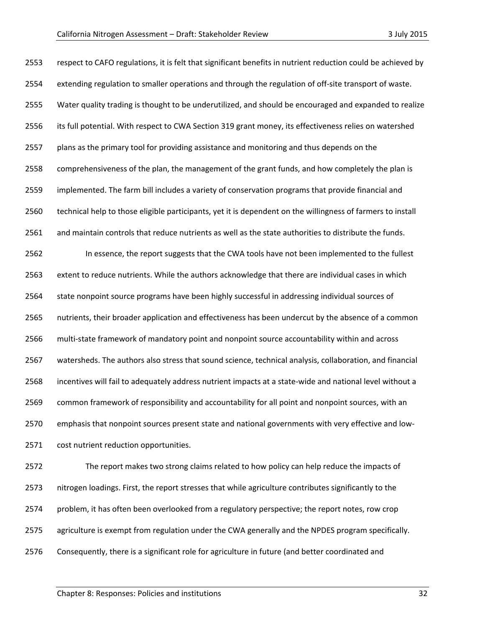| 2553 | respect to CAFO regulations, it is felt that significant benefits in nutrient reduction could be achieved by |
|------|--------------------------------------------------------------------------------------------------------------|
| 2554 | extending regulation to smaller operations and through the regulation of off-site transport of waste.        |
| 2555 | Water quality trading is thought to be underutilized, and should be encouraged and expanded to realize       |
| 2556 | its full potential. With respect to CWA Section 319 grant money, its effectiveness relies on watershed       |
| 2557 | plans as the primary tool for providing assistance and monitoring and thus depends on the                    |
| 2558 | comprehensiveness of the plan, the management of the grant funds, and how completely the plan is             |
| 2559 | implemented. The farm bill includes a variety of conservation programs that provide financial and            |
| 2560 | technical help to those eligible participants, yet it is dependent on the willingness of farmers to install  |
| 2561 | and maintain controls that reduce nutrients as well as the state authorities to distribute the funds.        |
| 2562 | In essence, the report suggests that the CWA tools have not been implemented to the fullest                  |
| 2563 | extent to reduce nutrients. While the authors acknowledge that there are individual cases in which           |
| 2564 | state nonpoint source programs have been highly successful in addressing individual sources of               |
| 2565 | nutrients, their broader application and effectiveness has been undercut by the absence of a common          |
| 2566 | multi-state framework of mandatory point and nonpoint source accountability within and across                |
| 2567 | watersheds. The authors also stress that sound science, technical analysis, collaboration, and financial     |
| 2568 | incentives will fail to adequately address nutrient impacts at a state-wide and national level without a     |
| 2569 | common framework of responsibility and accountability for all point and nonpoint sources, with an            |
| 2570 | emphasis that nonpoint sources present state and national governments with very effective and low-           |
| 2571 | cost nutrient reduction opportunities.                                                                       |
| 2572 | The report makes two strong claims related to how policy can help reduce the impacts of                      |
| 2573 | nitrogen loadings. First, the report stresses that while agriculture contributes significantly to the        |
| 2574 | problem, it has often been overlooked from a regulatory perspective; the report notes, row crop              |

- agriculture is exempt from regulation under the CWA generally and the NPDES program specifically.
- Consequently, there is a significant role for agriculture in future (and better coordinated and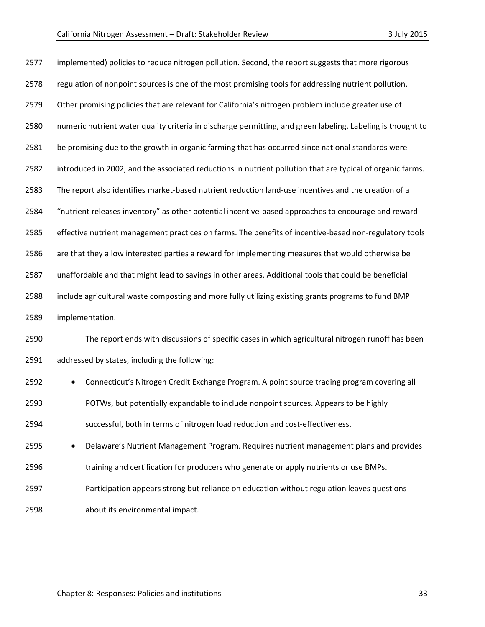| 2577 | implemented) policies to reduce nitrogen pollution. Second, the report suggests that more rigorous          |  |  |  |  |
|------|-------------------------------------------------------------------------------------------------------------|--|--|--|--|
| 2578 | regulation of nonpoint sources is one of the most promising tools for addressing nutrient pollution.        |  |  |  |  |
| 2579 | Other promising policies that are relevant for California's nitrogen problem include greater use of         |  |  |  |  |
| 2580 | numeric nutrient water quality criteria in discharge permitting, and green labeling. Labeling is thought to |  |  |  |  |
| 2581 | be promising due to the growth in organic farming that has occurred since national standards were           |  |  |  |  |
| 2582 | introduced in 2002, and the associated reductions in nutrient pollution that are typical of organic farms.  |  |  |  |  |
| 2583 | The report also identifies market-based nutrient reduction land-use incentives and the creation of a        |  |  |  |  |
| 2584 | "nutrient releases inventory" as other potential incentive-based approaches to encourage and reward         |  |  |  |  |
| 2585 | effective nutrient management practices on farms. The benefits of incentive-based non-regulatory tools      |  |  |  |  |
| 2586 | are that they allow interested parties a reward for implementing measures that would otherwise be           |  |  |  |  |
| 2587 | unaffordable and that might lead to savings in other areas. Additional tools that could be beneficial       |  |  |  |  |
| 2588 | include agricultural waste composting and more fully utilizing existing grants programs to fund BMP         |  |  |  |  |
| 2589 | implementation.                                                                                             |  |  |  |  |
| 2590 | The report ends with discussions of specific cases in which agricultural nitrogen runoff has been           |  |  |  |  |
| 2591 | addressed by states, including the following:                                                               |  |  |  |  |
| 2592 | Connecticut's Nitrogen Credit Exchange Program. A point source trading program covering all                 |  |  |  |  |
| 2593 | POTWs, but potentially expandable to include nonpoint sources. Appears to be highly                         |  |  |  |  |
| 2594 | successful, both in terms of nitrogen load reduction and cost-effectiveness.                                |  |  |  |  |
| 2595 | Delaware's Nutrient Management Program. Requires nutrient management plans and provides<br>$\bullet$        |  |  |  |  |

- 2596 training and certification for producers who generate or apply nutrients or use BMPs.
- Participation appears strong but reliance on education without regulation leaves questions
- about its environmental impact.